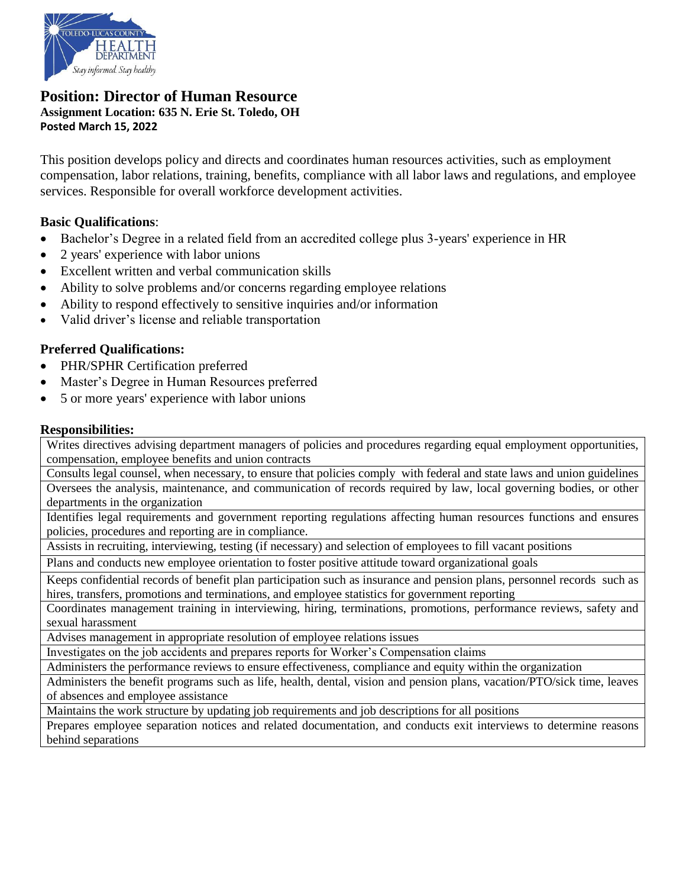

### **Position: Director of Human Resource Assignment Location: 635 N. Erie St. Toledo, OH Posted March 15, 2022**

This position develops policy and directs and coordinates human resources activities, such as employment compensation, labor relations, training, benefits, compliance with all labor laws and regulations, and employee services. Responsible for overall workforce development activities.

## **Basic Qualifications**:

- Bachelor's Degree in a related field from an accredited college plus 3-years' experience in HR
- 2 years' experience with labor unions
- Excellent written and verbal communication skills
- Ability to solve problems and/or concerns regarding employee relations
- Ability to respond effectively to sensitive inquiries and/or information
- Valid driver's license and reliable transportation

# **Preferred Qualifications:**

- PHR/SPHR Certification preferred
- Master's Degree in Human Resources preferred
- 5 or more years' experience with labor unions

### **Responsibilities:**

Writes directives advising department managers of policies and procedures regarding equal employment opportunities, compensation, employee benefits and union contracts

Consults legal counsel, when necessary, to ensure that policies comply with federal and state laws and union guidelines Oversees the analysis, maintenance, and communication of records required by law, local governing bodies, or other departments in the organization

Identifies legal requirements and government reporting regulations affecting human resources functions and ensures policies, procedures and reporting are in compliance.

Assists in recruiting, interviewing, testing (if necessary) and selection of employees to fill vacant positions

Plans and conducts new employee orientation to foster positive attitude toward organizational goals

Keeps confidential records of benefit plan participation such as insurance and pension plans, personnel records such as hires, transfers, promotions and terminations, and employee statistics for government reporting

Coordinates management training in interviewing, hiring, terminations, promotions, performance reviews, safety and sexual harassment

Advises management in appropriate resolution of employee relations issues

Investigates on the job accidents and prepares reports for Worker's Compensation claims

Administers the performance reviews to ensure effectiveness, compliance and equity within the organization

Administers the benefit programs such as life, health, dental, vision and pension plans, vacation/PTO/sick time, leaves of absences and employee assistance

Maintains the work structure by updating job requirements and job descriptions for all positions

Prepares employee separation notices and related documentation, and conducts exit interviews to determine reasons behind separations